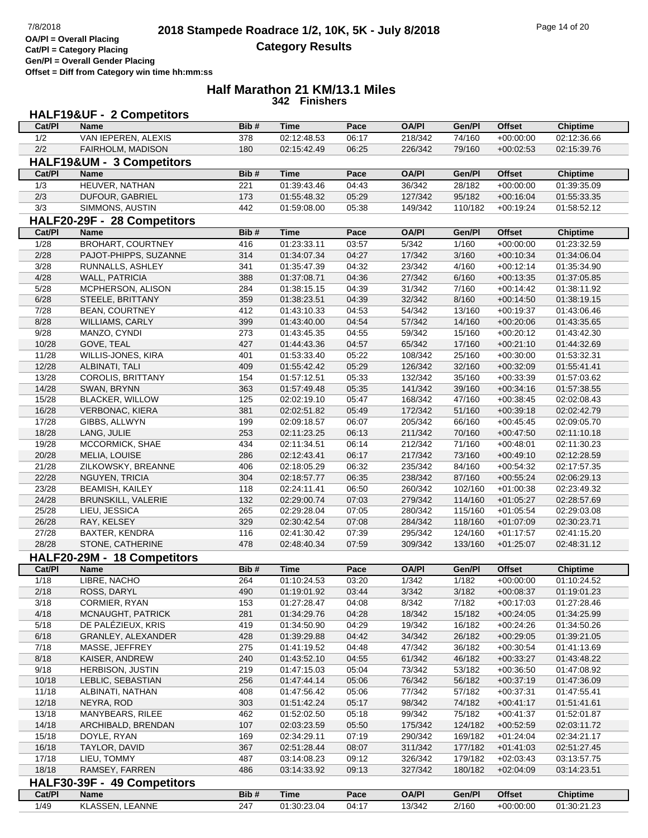**Half Marathon 21 KM/13.1 Miles 342 Finishers**

|                | <b>HALF19&amp;UF - 2 Competitors</b>       |            |                            |                |                    |                  |                            |                            |
|----------------|--------------------------------------------|------------|----------------------------|----------------|--------------------|------------------|----------------------------|----------------------------|
| Cat/PI         | <b>Name</b>                                | Bib#       | <b>Time</b>                | Pace           | <b>OA/PI</b>       | Gen/Pl           | <b>Offset</b>              | <b>Chiptime</b>            |
| 1/2            | VAN IEPEREN, ALEXIS                        | 378        | 02:12:48.53                | 06:17          | 218/342            | 74/160           | $+00:00:00$                | 02:12:36.66                |
| 2/2            | FAIRHOLM, MADISON                          | 180        | 02:15:42.49                | 06:25          | 226/342            | 79/160           | $+00:02:53$                | 02:15:39.76                |
|                | HALF19&UM - 3 Competitors                  |            |                            |                |                    |                  |                            |                            |
| Cat/PI         | <b>Name</b>                                | Bib#       | <b>Time</b>                | Pace           | <b>OA/PI</b>       | Gen/Pl           | <b>Offset</b>              | <b>Chiptime</b>            |
| 1/3            | HEUVER, NATHAN                             | 221        | 01:39:43.46                | 04:43          | 36/342             | 28/182           | $+00:00:00$                | 01:39:35.09                |
| 2/3            | DUFOUR, GABRIEL                            | 173        | 01:55:48.32                | 05:29          | 127/342            | 95/182           | $+00:16:04$                | 01:55:33.35                |
| 3/3            | SIMMONS, AUSTIN                            | 442        | 01:59:08.00                | 05:38          | 149/342            | 110/182          | $+00:19:24$                | 01:58:52.12                |
|                | HALF20-29F - 28 Competitors                |            |                            |                |                    |                  |                            |                            |
| Cat/PI         | <b>Name</b>                                | Bib#       | <b>Time</b>                | Pace           | <b>OA/PI</b>       | Gen/Pl           | <b>Offset</b>              | <b>Chiptime</b>            |
| 1/28           | <b>BROHART, COURTNEY</b>                   | 416        | 01:23:33.11                | 03:57          | 5/342              | 1/160            | $+00:00:00$                | 01:23:32.59                |
| 2/28           | PAJOT-PHIPPS, SUZANNE                      | 314        | 01:34:07.34                | 04:27          | 17/342             | 3/160            | $+00:10:34$                | 01:34:06.04                |
| 3/28           | RUNNALLS, ASHLEY                           | 341        | 01:35:47.39                | 04:32          | 23/342             | 4/160            | $+00:12:14$                | 01:35:34.90                |
| 4/28           | <b>WALL, PATRICIA</b>                      | 388        | 01:37:08.71                | 04:36          | 27/342             | 6/160            | $+00:13:35$                | 01:37:05.85                |
| 5/28           | MCPHERSON, ALISON                          | 284        | 01:38:15.15                | 04:39          | 31/342             | 7/160            | $+00:14:42$                | 01:38:11.92                |
| 6/28           | STEELE, BRITTANY                           | 359        | 01:38:23.51                | 04:39          | 32/342             | 8/160            | $+00:14:50$                | 01:38:19.15                |
| 7/28           | <b>BEAN, COURTNEY</b>                      | 412        | 01:43:10.33                | 04:53          | 54/342             | 13/160           | $+00:19:37$                | 01:43:06.46                |
| 8/28           | <b>WILLIAMS, CARLY</b>                     | 399        | 01:43:40.00                | 04:54          | 57/342             | 14/160           | $+00:20:06$                | 01:43:35.65                |
| 9/28           | MANZO, CYNDI                               | 273        | 01:43:45.35                | 04:55          | 59/342             | 15/160           | $+00:20:12$                | 01:43:42.30                |
| 10/28          | GOVE, TEAL<br>WILLIS-JONES, KIRA           | 427        | 01:44:43.36                | 04:57          | 65/342             | 17/160           | $+00:21:10$                | 01:44:32.69                |
| 11/28          |                                            | 401<br>409 | 01:53:33.40<br>01:55:42.42 | 05:22          | 108/342            | 25/160           | $+00:30:00$                | 01:53:32.31                |
| 12/28<br>13/28 | ALBINATI, TALI<br><b>COROLIS, BRITTANY</b> | 154        | 01:57:12.51                | 05:29<br>05:33 | 126/342<br>132/342 | 32/160<br>35/160 | $+00:32:09$<br>$+00:33:39$ | 01:55:41.41<br>01:57:03.62 |
| 14/28          | SWAN, BRYNN                                | 363        | 01:57:49.48                | 05:35          | 141/342            | 39/160           | $+00:34:16$                | 01:57:38.55                |
| 15/28          | <b>BLACKER, WILLOW</b>                     | 125        | 02:02:19.10                | 05:47          | 168/342            | 47/160           | $+00:38:45$                | 02:02:08.43                |
| 16/28          | <b>VERBONAC, KIERA</b>                     | 381        | 02:02:51.82                | 05:49          | 172/342            | 51/160           | $+00:39:18$                | 02:02:42.79                |
| 17/28          | GIBBS, ALLWYN                              | 199        | 02:09:18.57                | 06:07          | 205/342            | 66/160           | $+00:45:45$                | 02:09:05.70                |
| 18/28          | LANG, JULIE                                | 253        | 02:11:23.25                | 06:13          | 211/342            | 70/160           | $+00:47:50$                | 02:11:10.18                |
| 19/28          | MCCORMICK, SHAE                            | 434        | 02:11:34.51                | 06:14          | 212/342            | 71/160           | $+00:48:01$                | 02:11:30.23                |
| 20/28          | MELIA, LOUISE                              | 286        | 02:12:43.41                | 06:17          | 217/342            | 73/160           | $+00:49:10$                | 02:12:28.59                |
| 21/28          | ZILKOWSKY, BREANNE                         | 406        | 02:18:05.29                | 06:32          | 235/342            | 84/160           | $+00:54:32$                | 02:17:57.35                |
| 22/28          | NGUYEN, TRICIA                             | 304        | 02:18:57.77                | 06:35          | 238/342            | 87/160           | $+00:55:24$                | 02:06:29.13                |
| 23/28          | <b>BEAMISH, KAILEY</b>                     | 118        | 02:24:11.41                | 06:50          | 260/342            | 102/160          | $+01:00:38$                | 02:23:49.32                |
| 24/28          | <b>BRUNSKILL, VALERIE</b>                  | 132        | 02:29:00.74                | 07:03          | 279/342            | 114/160          | $+01:05:27$                | 02:28:57.69                |
| 25/28          | LIEU, JESSICA                              | 265        | 02:29:28.04                | 07:05          | 280/342            | 115/160          | $+01:05:54$                | 02:29:03.08                |
| 26/28          | RAY, KELSEY                                | 329        | 02:30:42.54                | 07:08          | 284/342            | 118/160          | $+01:07:09$                | 02:30:23.71                |
| 27/28          | <b>BAXTER, KENDRA</b>                      | 116        | 02:41:30.42                | 07:39          | 295/342            | 124/160          | $+01:17:57$                | 02:41:15.20                |
| 28/28          | STONE, CATHERINE                           | 478        | 02:48:40.34                | 07:59          | 309/342            | 133/160          | $+01:25:07$                | 02:48:31.12                |
|                | HALF20-29M - 18 Competitors                |            |                            |                |                    |                  |                            |                            |
| Cat/Pl         | <b>Name</b>                                | Bib#       | <b>Time</b>                | Pace           | <b>OA/PI</b>       | Gen/Pl           | <b>Offset</b>              | <b>Chiptime</b>            |
| 1/18           | LIBRE, NACHO                               | 264        | 01:10:24.53                | 03:20          | 1/342              | 1/182            | $+00:00:00$                | 01:10:24.52                |
| 2/18           | ROSS, DARYL                                | 490        | 01:19:01.92                | 03:44          | 3/342              | 3/182            | $+00:08:37$                | 01:19:01.23                |
| 3/18<br>4/18   | CORMIER, RYAN<br>MCNAUGHT, PATRICK         | 153<br>281 | 01:27:28.47<br>01:34:29.76 | 04:08<br>04:28 | 8/342<br>18/342    | 7/182<br>15/182  | $+00:17:03$<br>$+00:24:05$ | 01:27:28.46<br>01:34:25.99 |
| 5/18           | DE PALÉZIEUX, KRIS                         | 419        | 01:34:50.90                | 04:29          | 19/342             | 16/182           | $+00:24:26$                | 01:34:50.26                |
| 6/18           | GRANLEY, ALEXANDER                         | 428        | 01:39:29.88                | 04:42          | 34/342             | 26/182           | $+00:29:05$                | 01:39:21.05                |
| 7/18           | MASSE, JEFFREY                             | 275        | 01:41:19.52                | 04:48          | 47/342             | 36/182           | $+00:30:54$                | 01:41:13.69                |
| 8/18           | KAISER, ANDREW                             | 240        | 01:43:52.10                | 04:55          | 61/342             | 46/182           | $+00:33:27$                | 01:43:48.22                |
| 9/18           | HERBISON, JUSTIN                           | 219        | 01:47:15.03                | 05:04          | 73/342             | 53/182           | $+00:36:50$                | 01:47:08.92                |
| 10/18          | LEBLIC, SEBASTIAN                          | 256        | 01:47:44.14                | 05:06          | 76/342             | 56/182           | $+00:37:19$                | 01:47:36.09                |
| 11/18          | ALBINATI, NATHAN                           | 408        | 01:47:56.42                | 05:06          | 77/342             | 57/182           | $+00:37:31$                | 01:47:55.41                |
| 12/18          | NEYRA, ROD                                 | 303        | 01:51:42.24                | 05:17          | 98/342             | 74/182           | $+00:41:17$                | 01:51:41.61                |
| 13/18          | MANYBEARS, RILEE                           | 462        | 01:52:02.50                | 05:18          | 99/342             | 75/182           | $+00:41:37$                | 01:52:01.87                |
| 14/18          | ARCHIBALD, BRENDAN                         | 107        | 02:03:23.59                | 05:50          | 175/342            | 124/182          | $+00:52:59$                | 02:03:11.72                |
| 15/18          | DOYLE, RYAN                                | 169        | 02:34:29.11                | 07:19          | 290/342            | 169/182          | $+01:24:04$                | 02:34:21.17                |
| 16/18          | TAYLOR, DAVID                              | 367        | 02:51:28.44                | 08:07          | 311/342            | 177/182          | $+01:41:03$                | 02:51:27.45                |
| 17/18          | LIEU, TOMMY                                | 487        | 03:14:08.23                | 09:12          | 326/342            | 179/182          | $+02:03:43$                | 03:13:57.75                |
| 18/18          | RAMSEY, FARREN                             | 486        | 03:14:33.92                | 09:13          | 327/342            | 180/182          | $+02:04:09$                | 03:14:23.51                |
|                | HALF30-39F - 49 Competitors                |            |                            |                |                    |                  |                            |                            |
| Cat/PI         | <b>Name</b>                                | Bib#       | <b>Time</b>                | Pace           | <b>OA/PI</b>       | Gen/Pl           | <b>Offset</b>              | <b>Chiptime</b>            |
| 1/49           | KLASSEN, LEANNE                            | 247        | 01:30:23.04                | 04:17          | 13/342             | 2/160            | $+00:00:00$                | 01:30:21.23                |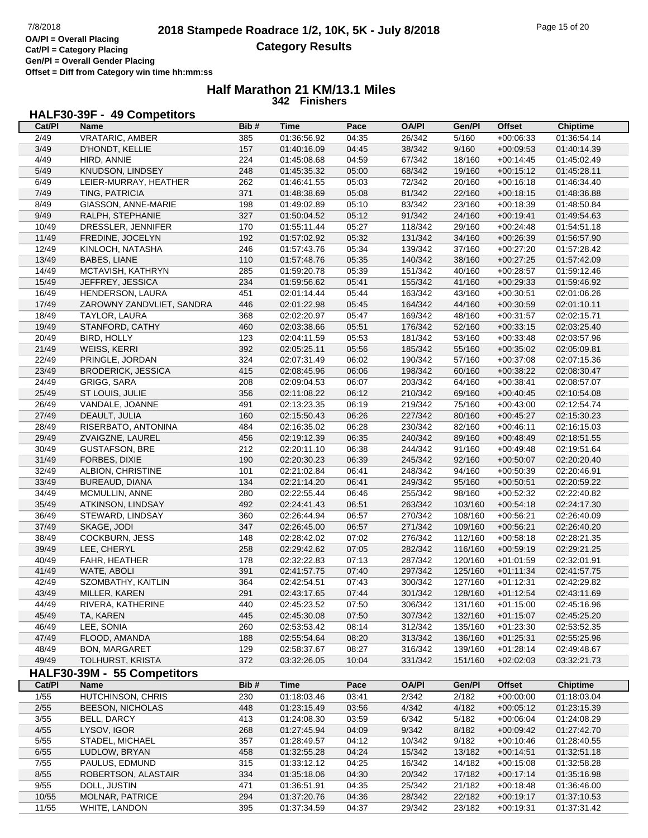# **2018 Stampede Roadrace 1/2, 10K, 5K - July 8/2018** 7/8/2018 Page 15 of 20 **Category Results**

## **Half Marathon 21 KM/13.1 Miles 342 Finishers**

## **HALF30-39F - 49 Competitors**

| Cat/PI         | Name                        | Bib# | <b>Time</b> | Pace  | <b>OA/PI</b> | Gen/Pl  | <b>Offset</b> | <b>Chiptime</b> |
|----------------|-----------------------------|------|-------------|-------|--------------|---------|---------------|-----------------|
| 2/49           | VRATARIC, AMBER             | 385  | 01:36:56.92 | 04:35 | 26/342       | 5/160   | $+00:06:33$   | 01:36:54.14     |
| $\frac{3}{49}$ | D'HONDT, KELLIE             | 157  | 01:40:16.09 | 04:45 | 38/342       | 9/160   | $+00:09:53$   | 01:40:14.39     |
| 4/49           | HIRD, ANNIE                 | 224  | 01:45:08.68 | 04:59 | 67/342       | 18/160  | $+00:14:45$   | 01:45:02.49     |
| 5/49           | KNUDSON, LINDSEY            | 248  | 01:45:35.32 | 05:00 | 68/342       | 19/160  | $+00:15:12$   | 01:45:28.11     |
| 6/49           | LEIER-MURRAY, HEATHER       | 262  | 01:46:41.55 | 05:03 | 72/342       | 20/160  | $+00:16:18$   | 01:46:34.40     |
| 7/49           | TING, PATRICIA              | 371  | 01:48:38.69 | 05:08 | 81/342       | 22/160  | $+00:18:15$   | 01:48:36.88     |
| 8/49           | GIASSON, ANNE-MARIE         | 198  | 01:49:02.89 | 05:10 | 83/342       | 23/160  | $+00:18:39$   | 01:48:50.84     |
| 9/49           | RALPH, STEPHANIE            | 327  | 01:50:04.52 | 05:12 | 91/342       | 24/160  | $+00:19:41$   | 01:49:54.63     |
| 10/49          | DRESSLER, JENNIFER          | 170  | 01:55:11.44 | 05:27 | 118/342      | 29/160  | $+00:24:48$   | 01:54:51.18     |
| 11/49          | FREDINE, JOCELYN            | 192  | 01:57:02.92 | 05:32 | 131/342      | 34/160  | $+00:26:39$   | 01:56:57.90     |
| 12/49          | KINLOCH, NATASHA            | 246  | 01:57:43.76 | 05:34 | 139/342      | 37/160  | $+00:27:20$   | 01:57:28.42     |
| 13/49          | BABES, LIANE                | 110  | 01:57:48.76 | 05:35 | 140/342      | 38/160  | $+00:27:25$   | 01:57:42.09     |
| 14/49          | MCTAVISH, KATHRYN           | 285  | 01:59:20.78 | 05:39 | 151/342      | 40/160  | $+00:28:57$   | 01:59:12.46     |
| 15/49          | JEFFREY, JESSICA            | 234  | 01:59:56.62 | 05:41 | 155/342      | 41/160  | $+00:29:33$   | 01:59:46.92     |
| 16/49          | HENDERSON, LAURA            | 451  | 02:01:14.44 | 05:44 | 163/342      | 43/160  | $+00:30:51$   | 02:01:06.26     |
| 17/49          | ZAROWNY ZANDVLIET, SANDRA   | 446  | 02:01:22.98 | 05:45 | 164/342      | 44/160  | $+00:30:59$   | 02:01:10.11     |
| 18/49          | <b>TAYLOR, LAURA</b>        | 368  | 02:02:20.97 | 05:47 | 169/342      | 48/160  | $+00:31:57$   | 02:02:15.71     |
| 19/49          | STANFORD, CATHY             | 460  | 02:03:38.66 | 05:51 | 176/342      | 52/160  | $+00:33:15$   | 02:03:25.40     |
| 20/49          | <b>BIRD, HOLLY</b>          | 123  | 02:04:11.59 | 05:53 | 181/342      | 53/160  | $+00:33:48$   | 02:03:57.96     |
| 21/49          | WEISS, KERRI                | 392  | 02:05:25.11 | 05:56 | 185/342      | 55/160  | $+00:35:02$   | 02:05:09.81     |
| 22/49          | PRINGLE, JORDAN             | 324  | 02:07:31.49 | 06:02 | 190/342      | 57/160  | $+00:37:08$   | 02:07:15.36     |
| 23/49          | <b>BRODERICK, JESSICA</b>   | 415  | 02:08:45.96 | 06:06 | 198/342      | 60/160  | $+00:38:22$   | 02:08:30.47     |
| 24/49          | GRIGG, SARA                 | 208  | 02:09:04.53 | 06:07 | 203/342      | 64/160  | $+00:38:41$   | 02:08:57.07     |
| 25/49          | ST LOUIS, JULIE             | 356  | 02:11:08.22 | 06:12 | 210/342      | 69/160  | $+00:40:45$   | 02:10:54.08     |
| 26/49          | VANDALE, JOANNE             | 491  | 02:13:23.35 | 06:19 | 219/342      | 75/160  | $+00:43:00$   | 02:12:54.74     |
| 27/49          | DEAULT, JULIA               | 160  | 02:15:50.43 | 06:26 | 227/342      | 80/160  | $+00:45:27$   | 02:15:30.23     |
| 28/49          | RISERBATO, ANTONINA         | 484  | 02:16:35.02 | 06:28 | 230/342      | 82/160  | $+00:46:11$   | 02:16:15.03     |
| 29/49          | ZVAIGZNE, LAUREL            | 456  | 02:19:12.39 | 06:35 | 240/342      | 89/160  | $+00:48:49$   | 02:18:51.55     |
| 30/49          | <b>GUSTAFSON, BRE</b>       | 212  | 02:20:11.10 | 06:38 | 244/342      | 91/160  | $+00:49:48$   | 02:19:51.64     |
| 31/49          | FORBES, DIXIE               | 190  | 02:20:30.23 | 06:39 | 245/342      | 92/160  | $+00:50:07$   | 02:20:20.40     |
| 32/49          | ALBION, CHRISTINE           | 101  | 02:21:02.84 | 06:41 | 248/342      | 94/160  | $+00:50:39$   | 02:20:46.91     |
| 33/49          | BUREAUD, DIANA              | 134  | 02:21:14.20 | 06:41 | 249/342      | 95/160  | $+00:50:51$   | 02:20:59.22     |
| 34/49          | MCMULLIN, ANNE              | 280  | 02:22:55.44 | 06:46 | 255/342      | 98/160  | $+00:52:32$   | 02:22:40.82     |
| 35/49          | ATKINSON, LINDSAY           | 492  | 02:24:41.43 | 06:51 | 263/342      | 103/160 | $+00:54:18$   | 02:24:17.30     |
| 36/49          | STEWARD, LINDSAY            | 360  | 02:26:44.94 | 06:57 | 270/342      | 108/160 | $+00:56:21$   | 02:26:40.09     |
| 37/49          | SKAGE, JODI                 | 347  | 02:26:45.00 | 06:57 | 271/342      | 109/160 | $+00:56:21$   | 02:26:40.20     |
| 38/49          | <b>COCKBURN, JESS</b>       | 148  | 02:28:42.02 | 07:02 | 276/342      | 112/160 | $+00:58:18$   | 02:28:21.35     |
| 39/49          | LEE, CHERYL                 | 258  | 02:29:42.62 | 07:05 | 282/342      | 116/160 | $+00:59:19$   | 02:29:21.25     |
| 40/49          | FAHR, HEATHER               | 178  | 02:32:22.83 | 07:13 | 287/342      | 120/160 | $+01:01:59$   | 02:32:01.91     |
| 41/49          | WATE, ABOLI                 | 391  | 02:41:57.75 | 07:40 | 297/342      | 125/160 | $+01:11:34$   | 02:41:57.75     |
| 42/49          | SZOMBATHY, KAITLIN          | 364  | 02:42:54.51 | 07:43 | 300/342      | 127/160 | $+01:12:31$   | 02:42:29.82     |
| 43/49          | MILLER, KAREN               | 291  | 02:43:17.65 | 07:44 | 301/342      | 128/160 | $+01:12:54$   | 02:43:11.69     |
| 44/49          | RIVERA, KATHERINE           | 440  | 02:45:23.52 | 07:50 | 306/342      | 131/160 | $+01:15:00$   | 02:45:16.96     |
| 45/49          | TA, KAREN                   | 445  | 02:45:30.08 | 07:50 | 307/342      | 132/160 | $+01:15:07$   | 02:45:25.20     |
| 46/49          | LEE, SONIA                  | 260  | 02:53:53.42 | 08:14 | 312/342      | 135/160 | $+01:23:30$   | 02:53:52.35     |
| 47/49          | FLOOD, AMANDA               | 188  | 02:55:54.64 | 08:20 | 313/342      | 136/160 | $+01:25:31$   | 02:55:25.96     |
| 48/49          | <b>BON, MARGARET</b>        | 129  | 02:58:37.67 | 08:27 | 316/342      | 139/160 | $+01:28:14$   | 02:49:48.67     |
| 49/49          | TOLHURST, KRISTA            | 372  | 03:32:26.05 | 10:04 | 331/342      | 151/160 | $+02:02:03$   | 03:32:21.73     |
|                | HALF30-39M - 55 Competitors |      |             |       |              |         |               |                 |
| Cat/PI         | <b>Name</b>                 | Bib# | <b>Time</b> | Pace  | <b>OA/PI</b> | Gen/Pl  | <b>Offset</b> | <b>Chiptime</b> |
| $\frac{1}{55}$ | HUTCHINSON, CHRIS           | 230  | 01:18:03.46 | 03:41 | 2/342        | 2/182   | $+00:00:00$   | 01:18:03.04     |
| 2/55           | BEESON, NICHOLAS            | 448  | 01:23:15.49 | 03:56 | 4/342        | 4/182   | $+00:05:12$   | 01:23:15.39     |
| $\frac{3}{55}$ | BELL, DARCY                 | 413  | 01:24:08.30 | 03:59 | 6/342        | 5/182   | $+00:06:04$   | 01:24:08.29     |
| 4/55           | LYSOV, IGOR                 | 268  | 01:27:45.94 | 04:09 | 9/342        | 8/182   | $+00:09:42$   | 01:27:42.70     |
| $5/55$         | STADEL, MICHAEL             | 357  | 01:28:49.57 | 04:12 | 10/342       | 9/182   | $+00:10:46$   | 01:28:40.55     |
| 6/55           | LUDLOW, BRYAN               | 458  | 01:32:55.28 | 04:24 | 15/342       | 13/182  | $+00:14:51$   | 01:32:51.18     |
| 7/55           | PAULUS, EDMUND              | 315  | 01:33:12.12 | 04:25 | 16/342       | 14/182  | $+00:15:08$   | 01:32:58.28     |
| 8/55           | ROBERTSON, ALASTAIR         | 334  | 01:35:18.06 | 04:30 | 20/342       | 17/182  | $+00:17:14$   | 01:35:16.98     |
| 9/55           | DOLL, JUSTIN                | 471  | 01:36:51.91 | 04:35 | 25/342       | 21/182  | $+00:18:48$   | 01:36:46.00     |
| 10/55          | MOLNAR, PATRICE             | 294  | 01:37:20.76 | 04:36 | 28/342       | 22/182  | $+00:19:17$   | 01:37:10.53     |
| 11/55          | WHITE, LANDON               | 395  | 01:37:34.59 | 04:37 | 29/342       | 23/182  | $+00:19:31$   | 01:37:31.42     |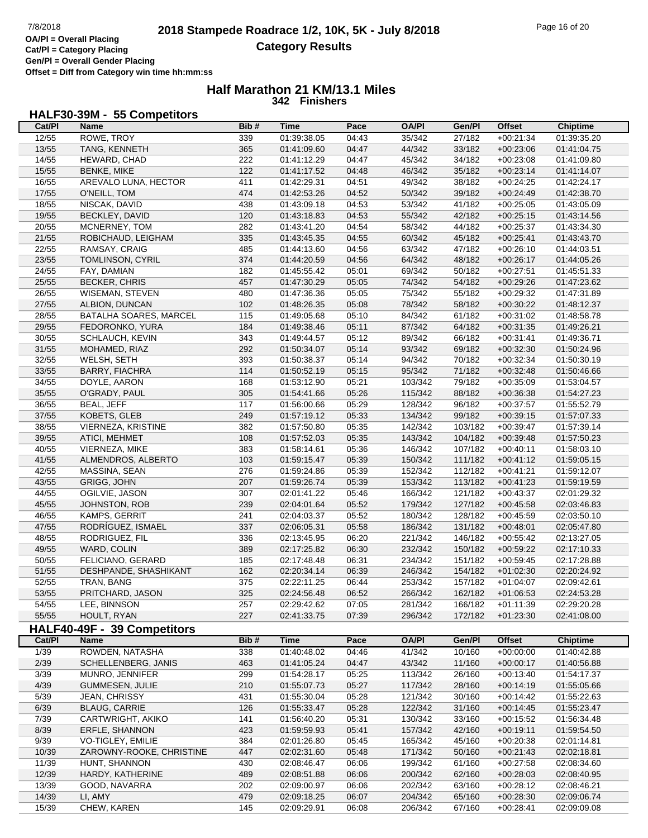**Gen/Pl = Overall Gender Placing Offset = Diff from Category win time hh:mm:ss**

## **Half Marathon 21 KM/13.1 Miles 342 Finishers**

## **HALF30-39M - 55 Competitors**

| Cat/PI | Name                          | Bib# | Time        | Pace  | <b>OA/PI</b> | Gen/Pl  | <b>Offset</b> | <b>Chiptime</b> |
|--------|-------------------------------|------|-------------|-------|--------------|---------|---------------|-----------------|
| 12/55  | ROWE, TROY                    | 339  | 01:39:38.05 | 04:43 | 35/342       | 27/182  | $+00:21:34$   | 01:39:35.20     |
| 13/55  | TANG, KENNETH                 | 365  | 01:41:09.60 | 04:47 | 44/342       | 33/182  | $+00:23:06$   | 01:41:04.75     |
| 14/55  | HEWARD, CHAD                  | 222  | 01:41:12.29 | 04:47 | 45/342       | 34/182  | $+00:23:08$   | 01:41:09.80     |
| 15/55  | <b>BENKE, MIKE</b>            | 122  | 01:41:17.52 | 04:48 | 46/342       | 35/182  | $+00:23:14$   | 01:41:14.07     |
| 16/55  | AREVALO LUNA, HECTOR          | 411  | 01:42:29.31 | 04:51 | 49/342       | 38/182  | $+00:24:25$   | 01:42:24.17     |
| 17/55  | O'NEILL, TOM                  | 474  |             |       | 50/342       |         |               |                 |
|        |                               |      | 01:42:53.26 | 04:52 |              | 39/182  | $+00:24:49$   | 01:42:38.70     |
| 18/55  | NISCAK, DAVID                 | 438  | 01:43:09.18 | 04:53 | 53/342       | 41/182  | $+00:25:05$   | 01:43:05.09     |
| 19/55  | BECKLEY, DAVID                | 120  | 01:43:18.83 | 04:53 | 55/342       | 42/182  | $+00:25:15$   | 01:43:14.56     |
| 20/55  | MCNERNEY, TOM                 | 282  | 01:43:41.20 | 04:54 | 58/342       | 44/182  | $+00:25:37$   | 01:43:34.30     |
| 21/55  | ROBICHAUD, LEIGHAM            | 335  | 01:43:45.35 | 04:55 | 60/342       | 45/182  | $+00:25:41$   | 01:43:43.70     |
| 22/55  | RAMSAY, CRAIG                 | 485  | 01:44:13.60 | 04:56 | 63/342       | 47/182  | $+00:26:10$   | 01:44:03.51     |
| 23/55  | TOMLINSON, CYRIL              | 374  | 01:44:20.59 | 04:56 | 64/342       | 48/182  | $+00:26:17$   | 01:44:05.26     |
| 24/55  | FAY, DAMIAN                   | 182  | 01:45:55.42 | 05:01 | 69/342       | 50/182  | $+00:27:51$   | 01:45:51.33     |
| 25/55  | <b>BECKER, CHRIS</b>          | 457  | 01:47:30.29 | 05:05 | 74/342       | 54/182  | $+00:29:26$   | 01:47:23.62     |
| 26/55  | <b>WISEMAN, STEVEN</b>        | 480  | 01:47:36.36 | 05:05 | 75/342       | 55/182  | $+00:29:32$   | 01:47:31.89     |
| 27/55  | ALBION, DUNCAN                | 102  | 01:48:26.35 | 05:08 | 78/342       | 58/182  | $+00:30:22$   | 01:48:12.37     |
| 28/55  | <b>BATALHA SOARES, MARCEL</b> | 115  | 01:49:05.68 | 05:10 | 84/342       | 61/182  | $+00:31:02$   | 01:48:58.78     |
| 29/55  | FEDORONKO, YURA               | 184  | 01:49:38.46 | 05:11 | 87/342       | 64/182  | $+00:31:35$   | 01:49:26.21     |
| 30/55  | SCHLAUCH, KEVIN               | 343  | 01:49:44.57 | 05:12 | 89/342       | 66/182  | $+00:31:41$   | 01:49:36.71     |
| 31/55  | MOHAMED, RIAZ                 | 292  | 01:50:34.07 | 05:14 | 93/342       | 69/182  | $+00:32:30$   | 01:50:24.96     |
|        | WELSH, SETH                   |      |             |       |              |         |               | 01:50:30.19     |
| 32/55  |                               | 393  | 01:50:38.37 | 05:14 | 94/342       | 70/182  | $+00:32:34$   |                 |
| 33/55  | <b>BARRY, FIACHRA</b>         | 114  | 01:50:52.19 | 05:15 | 95/342       | 71/182  | $+00:32:48$   | 01:50:46.66     |
| 34/55  | DOYLE, AARON                  | 168  | 01:53:12.90 | 05:21 | 103/342      | 79/182  | $+00:35:09$   | 01:53:04.57     |
| 35/55  | O'GRADY, PAUL                 | 305  | 01:54:41.66 | 05:26 | 115/342      | 88/182  | $+00:36:38$   | 01:54:27.23     |
| 36/55  | <b>BEAL, JEFF</b>             | 117  | 01:56:00.66 | 05:29 | 128/342      | 96/182  | $+00:37:57$   | 01:55:52.79     |
| 37/55  | KOBETS, GLEB                  | 249  | 01:57:19.12 | 05:33 | 134/342      | 99/182  | $+00:39:15$   | 01:57:07.33     |
| 38/55  | VIERNEZA, KRISTINE            | 382  | 01:57:50.80 | 05:35 | 142/342      | 103/182 | $+00:39:47$   | 01:57:39.14     |
| 39/55  | ATICI, MEHMET                 | 108  | 01:57:52.03 | 05:35 | 143/342      | 104/182 | $+00:39:48$   | 01:57:50.23     |
| 40/55  | VIERNEZA, MIKE                | 383  | 01:58:14.61 | 05:36 | 146/342      | 107/182 | $+00:40:11$   | 01:58:03.10     |
| 41/55  | ALMENDROS, ALBERTO            | 103  | 01:59:15.47 | 05:39 | 150/342      | 111/182 | $+00:41:12$   | 01:59:05.15     |
| 42/55  | MASSINA, SEAN                 | 276  | 01:59:24.86 | 05:39 | 152/342      | 112/182 | $+00:41:21$   | 01:59:12.07     |
| 43/55  | GRIGG, JOHN                   | 207  | 01:59:26.74 | 05:39 | 153/342      | 113/182 | $+00:41:23$   | 01:59:19.59     |
| 44/55  | OGILVIE, JASON                | 307  | 02:01:41.22 | 05:46 | 166/342      | 121/182 | $+00:43:37$   | 02:01:29.32     |
| 45/55  | JOHNSTON, ROB                 | 239  | 02:04:01.64 | 05:52 | 179/342      | 127/182 | $+00:45:58$   | 02:03:46.83     |
| 46/55  | KAMPS, GERRIT                 | 241  | 02:04:03.37 | 05:52 | 180/342      | 128/182 | $+00:45:59$   | 02:03:50.10     |
| 47/55  | RODRÍGUEZ, ISMAEL             | 337  | 02:06:05.31 | 05:58 | 186/342      | 131/182 | $+00:48:01$   | 02:05:47.80     |
| 48/55  | RODRIGUEZ, FIL                | 336  | 02:13:45.95 | 06:20 | 221/342      | 146/182 | $+00:55:42$   | 02:13:27.05     |
|        |                               |      |             |       | 232/342      |         |               |                 |
| 49/55  | WARD, COLIN                   | 389  | 02:17:25.82 | 06:30 |              | 150/182 | $+00:59:22$   | 02:17:10.33     |
| 50/55  | FELICIANO, GERARD             | 185  | 02:17:48.48 | 06:31 | 234/342      | 151/182 | $+00:59:45$   | 02:17:28.88     |
| 51/55  | DESHPANDE, SHASHIKANT         | 162  | 02:20:34.14 | 06:39 | 246/342      | 154/182 | $+01:02:30$   | 02:20:24.92     |
| 52/55  | <b>TRAN, BANG</b>             | 375  | 02:22:11.25 | 06:44 | 253/342      | 157/182 | $+01:04:07$   | 02:09:42.61     |
| 53/55  | PRITCHARD, JASON              | 325  | 02:24:56.48 | 06:52 | 266/342      | 162/182 | $+01:06.53$   | 02:24:53.28     |
| 54/55  | LEE, BINNSON                  | 257  | 02:29:42.62 | 07:05 | 281/342      | 166/182 | $+01:11:39$   | 02:29:20.28     |
| 55/55  | HOULT, RYAN                   | 227  | 02:41:33.75 | 07:39 | 296/342      | 172/182 | $+01:23:30$   | 02:41:08.00     |
|        | HALF40-49F - 39 Competitors   |      |             |       |              |         |               |                 |
| Cat/PI | <b>Name</b>                   | Bib# | <b>Time</b> | Pace  | <b>OA/PI</b> | Gen/Pl  | <b>Offset</b> | <b>Chiptime</b> |
| 1/39   | ROWDEN, NATASHA               | 338  | 01:40:48.02 | 04:46 | 41/342       | 10/160  | $+00:00:00$   | 01:40:42.88     |
| 2/39   | SCHELLENBERG, JANIS           | 463  | 01:41:05.24 | 04:47 | 43/342       | 11/160  | $+00:00:17$   | 01:40:56.88     |
| 3/39   | MUNRO, JENNIFER               | 299  | 01:54:28.17 | 05:25 | 113/342      | 26/160  | $+00:13:40$   | 01:54:17.37     |
| 4/39   | <b>GUMMESEN, JULIE</b>        | 210  | 01:55:07.73 | 05:27 | 117/342      | 28/160  | $+00:14:19$   | 01:55:05.66     |
| 5/39   | <b>JEAN, CHRISSY</b>          | 431  | 01:55:30.04 | 05:28 | 121/342      | 30/160  | $+00:14:42$   | 01:55:22.63     |
|        | <b>BLAUG, CARRIE</b>          |      |             |       | 122/342      |         |               |                 |
| 6/39   |                               | 126  | 01:55:33.47 | 05:28 |              | 31/160  | $+00:14:45$   | 01:55:23.47     |
| 7/39   | CARTWRIGHT, AKIKO             | 141  | 01:56:40.20 | 05:31 | 130/342      | 33/160  | $+00:15:52$   | 01:56:34.48     |
| 8/39   | ERFLE, SHANNON                | 423  | 01:59:59.93 | 05:41 | 157/342      | 42/160  | $+00:19:11$   | 01:59:54.50     |
| 9/39   | VO-TIGLEY, EMILIE             | 384  | 02:01:26.80 | 05:45 | 165/342      | 45/160  | $+00:20:38$   | 02:01:14.81     |
| 10/39  | ZAROWNY-ROOKE, CHRISTINE      | 447  | 02:02:31.60 | 05:48 | 171/342      | 50/160  | $+00:21:43$   | 02:02:18.81     |
| 11/39  | HUNT, SHANNON                 | 430  | 02:08:46.47 | 06:06 | 199/342      | 61/160  | $+00:27:58$   | 02:08:34.60     |
| 12/39  | HARDY, KATHERINE              | 489  | 02:08:51.88 | 06:06 | 200/342      | 62/160  | $+00:28:03$   | 02:08:40.95     |
| 13/39  | GOOD, NAVARRA                 | 202  | 02:09:00.97 | 06:06 | 202/342      | 63/160  | $+00:28:12$   | 02:08:46.21     |
| 14/39  | LI, AMY                       | 479  | 02:09:18.25 | 06:07 | 204/342      | 65/160  | $+00:28:30$   | 02:09:06.74     |
| 15/39  | CHEW, KAREN                   | 145  | 02:09:29.91 | 06:08 | 206/342      | 67/160  | $+00:28:41$   | 02:09:09.08     |
|        |                               |      |             |       |              |         |               |                 |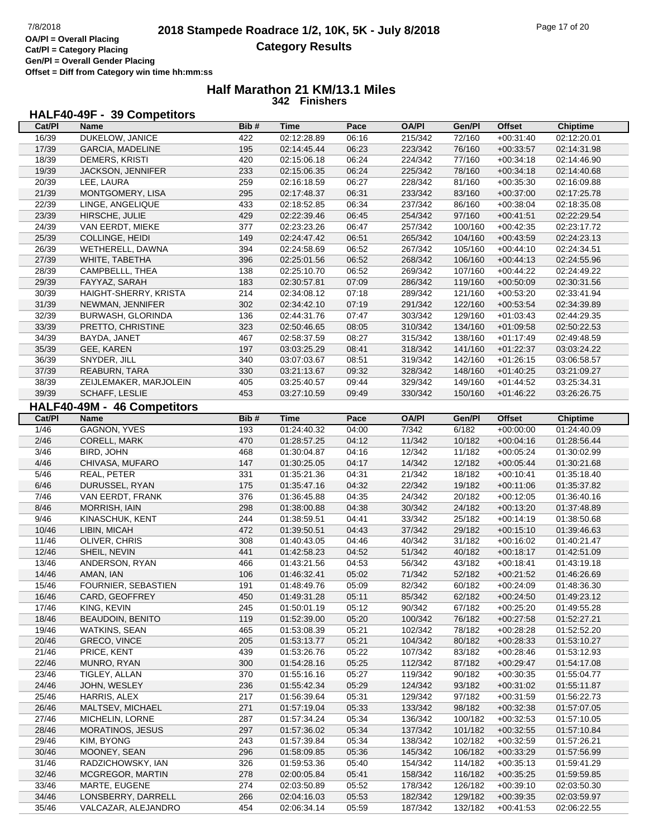## **Half Marathon 21 KM/13.1 Miles 342 Finishers**

## **HALF40-49F - 39 Competitors**

| Cat/PI         | Name                                      | Bib#       | Time                       | Pace           | <b>OA/PI</b>       | Gen/Pl             | <b>Offset</b>              | <b>Chiptime</b>            |
|----------------|-------------------------------------------|------------|----------------------------|----------------|--------------------|--------------------|----------------------------|----------------------------|
| 16/39          | DUKELOW, JANICE                           | 422        | 02:12:28.89                | 06:16          | 215/342            | 72/160             | $+00:31:40$                | 02:12:20.01                |
| 17/39          | <b>GARCIA, MADELINE</b>                   | 195        | 02:14:45.44                | 06:23          | 223/342            | 76/160             | $+00:33:57$                | 02:14:31.98                |
| 18/39          | DEMERS, KRISTI                            | 420        | 02:15:06.18                | 06:24          | 224/342            | 77/160             | $+00:34:18$                | 02:14:46.90                |
| 19/39          | JACKSON, JENNIFER                         | 233        | 02:15:06.35                | 06:24          | 225/342            | 78/160             | $+00:34:18$                | 02:14:40.68                |
| 20/39          | LEE, LAURA                                | 259        | 02:16:18.59                | 06:27          | 228/342            | 81/160             | $+00:35:30$                | 02:16:09.88                |
| 21/39          | MONTGOMERY, LISA                          | 295        | 02:17:48.37                | 06:31          | 233/342            | 83/160             | $+00:37:00$                | 02:17:25.78                |
| 22/39          | LINGE, ANGELIQUE                          | 433        | 02:18:52.85                | 06:34          | 237/342            | 86/160             | $+00:38:04$                | 02:18:35.08                |
| 23/39          | HIRSCHE, JULIE                            | 429        | 02:22:39.46                | 06:45          | 254/342            | 97/160             | $+00:41:51$                | 02:22:29.54                |
| 24/39          | VAN EERDT, MIEKE                          | 377        | 02:23:23.26                | 06:47          | 257/342            | 100/160            | $+00:42:35$                | 02:23:17.72                |
| 25/39          | COLLINGE, HEIDI                           | 149        | 02:24:47.42                | 06:51          | 265/342            | 104/160            | $+00:43:59$                | 02:24:23.13                |
| 26/39          | WETHERELL, DAWNA                          | 394        | 02:24:58.69                | 06:52          | 267/342            | 105/160            | $+00:44:10$                | 02:24:34.51                |
| 27/39          | WHITE, TABETHA                            | 396        | 02:25:01.56                | 06:52          | 268/342            | 106/160            | $+00:44:13$                | 02:24:55.96                |
| 28/39          | CAMPBELLL, THEA                           | 138        | 02:25:10.70                | 06:52          | 269/342            | 107/160            | $+00:44:22$                | 02:24:49.22                |
| 29/39          | FAYYAZ, SARAH                             | 183        | 02:30:57.81                | 07:09          | 286/342            | 119/160            | $+00:50:09$                | 02:30:31.56                |
| 30/39          | HAIGHT-SHERRY, KRISTA                     | 214        | 02:34:08.12                | 07:18          | 289/342            | 121/160            | $+00:53:20$                | 02:33:41.94                |
| 31/39          | NEWMAN, JENNIFER                          | 302        | 02:34:42.10                | 07:19          | 291/342            | 122/160            | $+00:53:54$                | 02:34:39.89                |
| 32/39          | BURWASH, GLORINDA                         | 136        | 02:44:31.76                | 07:47          | 303/342            | 129/160            | $+01:03:43$                | 02:44:29.35                |
| 33/39          | PRETTO, CHRISTINE                         | 323        | 02:50:46.65                | 08:05          | 310/342            | 134/160            | $+01:09:58$                | 02:50:22.53                |
| 34/39          | BAYDA, JANET                              | 467        | 02:58:37.59                | 08:27          | 315/342            | 138/160            | $+01:17:49$                | 02:49:48.59                |
| 35/39          | GEE, KAREN                                | 197        | 03:03:25.29                | 08:41          | 318/342            | 141/160            | $+01:22:37$                | 03:03:24.22                |
| 36/39          | SNYDER, JILL                              | 340        | 03:07:03.67                | 08:51          | 319/342            | 142/160            | $+01:26:15$                | 03:06:58.57                |
| 37/39          | REABURN, TARA                             | 330        | 03:21:13.67                | 09:32          | 328/342            | 148/160            | $+01:40:25$                | 03:21:09.27                |
| 38/39          | ZEIJLEMAKER, MARJOLEIN                    | 405        | 03:25:40.57                | 09:44          | 329/342            | 149/160            | $+01:44:52$                | 03:25:34.31                |
| 39/39          | SCHAFF, LESLIE                            | 453        | 03:27:10.59                | 09:49          | 330/342            | 150/160            | $+01:46:22$                | 03:26:26.75                |
|                |                                           |            |                            |                |                    |                    |                            |                            |
|                | HALF40-49M - 46 Competitors               |            |                            |                |                    |                    |                            |                            |
| Cat/PI         | <b>Name</b>                               | Bib#       | <b>Time</b>                | Pace           | <b>OA/PI</b>       | Gen/Pl             | <b>Offset</b>              | <b>Chiptime</b>            |
| 1/46           | <b>GAGNON, YVES</b>                       | 193        | 01:24:40.32                | 04:00          | 7/342              | 6/182              | $+00:00:00$                | 01:24:40.09                |
| 2/46           | CORELL, MARK                              | 470        | 01:28:57.25                | 04:12          | 11/342             | 10/182             | $+00:04:16$                | 01:28:56.44                |
| 3/46           | BIRD, JOHN                                | 468        | 01:30:04.87                | 04:16          | 12/342             | 11/182             | $+00:05:24$                | 01:30:02.99                |
| 4/46           | CHIVASA, MUFARO                           | 147        | 01:30:25.05                | 04:17          | 14/342             | 12/182             | $+00:05:44$                | 01:30:21.68                |
| 5/46           | REAL, PETER                               | 331        | 01:35:21.36                | 04:31          | 21/342             | 18/182             | $+00:10:41$                | 01:35:18.40                |
|                |                                           |            |                            |                |                    |                    |                            |                            |
| 6/46           | DURUSSEL, RYAN                            | 175        | 01:35:47.16                | 04:32          | 22/342             | 19/182             | $+00:11:06$                | 01:35:37.82                |
| 7/46           | VAN EERDT, FRANK                          | 376        | 01:36:45.88                | 04:35          | 24/342             | 20/182             | $+00:12:05$                | 01:36:40.16                |
| 8/46           | <b>MORRISH, IAIN</b>                      | 298        | 01:38:00.88                | 04:38          | 30/342             | 24/182             | $+00:13:20$                | 01:37:48.89                |
| 9/46           | KINASCHUK, KENT                           | 244        | 01:38:59.51                | 04:41          | 33/342             | 25/182             | $+00:14:19$                | 01:38:50.68                |
| 10/46          | LIBIN, MICAH                              | 472        | 01:39:50.51                | 04:43          | 37/342             | 29/182             | $+00:15:10$                | 01:39:46.63                |
| 11/46          | OLIVER, CHRIS                             | 308        | 01:40:43.05                | 04:46          | 40/342             | 31/182             | $+00:16:02$                | 01:40:21.47                |
| 12/46          | SHEIL, NEVIN                              | 441        | 01:42:58.23                | 04:52          | 51/342             | 40/182             | $+00:18:17$                | 01:42:51.09                |
| 13/46          | ANDERSON, RYAN                            | 466        | 01:43:21.56                | 04:53          | 56/342             | 43/182             | $+00:18:41$                | 01:43:19.18                |
| 14/46          | AMAN, IAN                                 | 106        | 01:46:32.41                | 05:02          | 71/342             | 52/182             | $+00:21:52$                | 01:46:26.69                |
| 15/46          | <b>FOURNIER, SEBASTIEN</b>                | 191        | 01:48:49.76                | 05:09          | 82/342             | 60/182             | $+00:24:09$                | 01:48:36.30                |
| 16/46          | CARD, GEOFFREY                            | 450        | 01:49:31.28                | 05:11          | 85/342             | 62/182             | $+00:24:50$                | 01:49:23.12                |
| 17/46          | KING, KEVIN                               | 245        | 01:50:01.19                | 05:12          | 90/342             | 67/182             | $+00:25:20$                | 01:49:55.28                |
| 18/46          | <b>BEAUDOIN, BENITO</b>                   | 119        | 01:52:39.00                | 05:20          | 100/342            | 76/182             | $+00:27:58$                | 01:52:27.21                |
| 19/46          | WATKINS, SEAN                             | 465        | 01:53:08.39                | 05:21          | 102/342            | 78/182             | $+00:28:28$                | 01:52:52.20                |
| 20/46          | GRECO, VINCE                              | 205        | 01:53:13.77                | 05:21          | 104/342            | 80/182             | $+00:28:33$                | 01:53:10.27                |
| 21/46          | PRICE, KENT                               | 439        | 01:53:26.76                | 05:22          | 107/342            | 83/182             | $+00:28:46$                | 01:53:12.93                |
| 22/46          | MUNRO, RYAN                               | 300        | 01:54:28.16                | 05:25          | 112/342            | 87/182             | $+00:29:47$                | 01:54:17.08                |
| 23/46          | TIGLEY, ALLAN                             | 370        | 01:55:16.16                | 05:27          | 119/342            | 90/182             | $+00:30:35$                | 01:55:04.77                |
| 24/46          | JOHN, WESLEY                              | 236        | 01:55:42.34                | 05:29          | 124/342            | 93/182             | $+00:31:02$                | 01:55:11.87                |
| 25/46          | HARRIS, ALEX                              | 217        | 01:56:39.64                | 05:31          | 129/342            | 97/182             | $+00:31:59$                | 01:56:22.73                |
| 26/46          | MALTSEV, MICHAEL                          | 271        | 01:57:19.04                | 05:33          | 133/342            | 98/182             | $+00:32:38$                | 01:57:07.05                |
| 27/46          | MICHELIN, LORNE                           | 287        | 01:57:34.24                | 05:34          | 136/342            | 100/182            | $+00:32:53$                | 01:57:10.05                |
| 28/46          | <b>MORATINOS, JESUS</b>                   | 297        | 01:57:36.02                | 05:34          | 137/342            | 101/182            | $+00:32:55$                | 01:57:10.84                |
| 29/46          | KIM, BYONG                                | 243        | 01:57:39.84                | 05:34          | 138/342            | 102/182            | $+00:32:59$                | 01:57:26.21                |
| 30/46          | MOONEY, SEAN                              | 296        | 01:58:09.85                | 05:36          | 145/342            | 106/182            | $+00:33:29$                | 01:57:56.99                |
| 31/46          | RADZICHOWSKY, IAN                         | 326        | 01:59:53.36                | 05:40          | 154/342            | 114/182            | $+00:35:13$                | 01:59:41.29                |
| 32/46          | MCGREGOR, MARTIN                          | 278        | 02:00:05.84                | 05:41          | 158/342            | 116/182            | $+00:35:25$                | 01:59:59.85                |
| 33/46          | MARTE, EUGENE                             | 274        | 02:03:50.89                | 05:52          | 178/342            | 126/182            | $+00:39:10$                | 02:03:50.30                |
| 34/46<br>35/46 | LONSBERRY, DARRELL<br>VALCAZAR, ALEJANDRO | 266<br>454 | 02:04:16.03<br>02:06:34.14 | 05:53<br>05:59 | 182/342<br>187/342 | 129/182<br>132/182 | $+00:39:35$<br>$+00:41:53$ | 02:03:59.97<br>02:06:22.55 |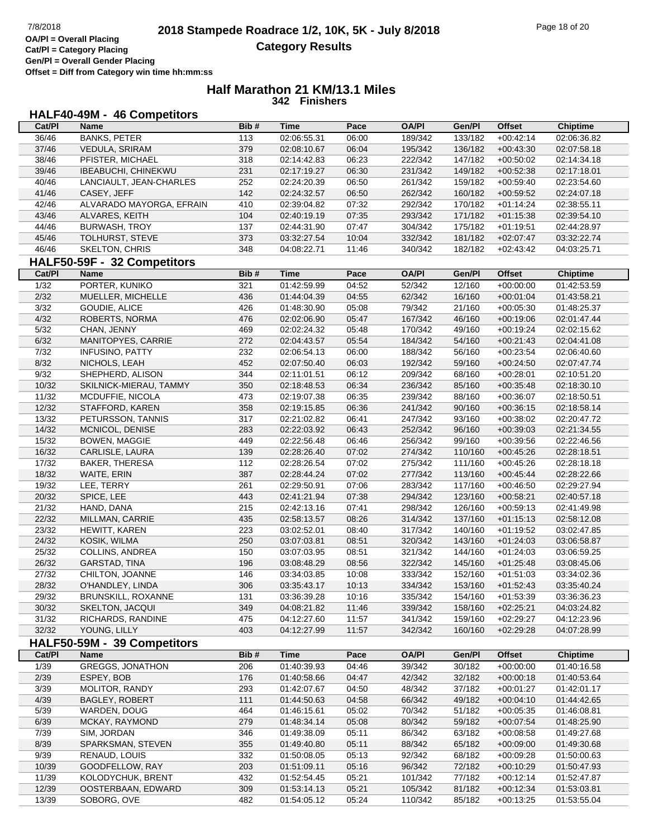**Gen/Pl = Overall Gender Placing**

#### **Half Marathon 21 KM/13.1 Miles 342 Finishers**

#### **HALF40-49M - 46 Competitors**

| Cat/PI         | Name                        | Bib#             | Time        | Pace  | <b>OA/PI</b> | Gen/PI  | Offset        | <b>Chiptime</b> |
|----------------|-----------------------------|------------------|-------------|-------|--------------|---------|---------------|-----------------|
| 36/46          | <b>BANKS, PETER</b>         | 113              | 02:06:55.31 | 06:00 | 189/342      | 133/182 | $+00:42:14$   | 02:06:36.82     |
| 37/46          | VEDULA, SRIRAM              | 379              | 02:08:10.67 | 06:04 | 195/342      | 136/182 | $+00:43:30$   | 02:07:58.18     |
| 38/46          | PFISTER, MICHAEL            | 318              | 02:14:42.83 | 06:23 | 222/342      | 147/182 | $+00:50:02$   | 02:14:34.18     |
| 39/46          | IBEABUCHI, CHINEKWU         | 231              | 02:17:19.27 | 06:30 | 231/342      | 149/182 | $+00:52:38$   | 02:17:18.01     |
| 40/46          | LANCIAULT, JEAN-CHARLES     | 252              | 02:24:20.39 | 06:50 | 261/342      | 159/182 | $+00:59:40$   | 02:23:54.60     |
| 41/46          | CASEY, JEFF                 | 142              | 02:24:32.57 | 06:50 | 262/342      | 160/182 | $+00:59:52$   | 02:24:07.18     |
| 42/46          | ALVARADO MAYORGA, EFRAIN    | 410              | 02:39:04.82 | 07:32 | 292/342      | 170/182 | $+01:14:24$   | 02:38:55.11     |
| 43/46          | ALVARES, KEITH              | 104              | 02:40:19.19 | 07:35 | 293/342      | 171/182 | $+01:15:38$   | 02:39:54.10     |
| 44/46          | BURWASH, TROY               | 137              | 02:44:31.90 | 07:47 | 304/342      | 175/182 | $+01:19:51$   | 02:44:28.97     |
| 45/46          | TOLHURST, STEVE             | 373              | 03:32:27.54 | 10:04 | 332/342      | 181/182 | $+02:07:47$   | 03:32:22.74     |
| 46/46          | <b>SKELTON, CHRIS</b>       | 348              | 04:08:22.71 | 11:46 | 340/342      | 182/182 | $+02:43:42$   | 04:03:25.71     |
|                |                             |                  |             |       |              |         |               |                 |
|                | HALF50-59F - 32 Competitors |                  |             |       |              |         |               |                 |
| Cat/Pl         | Name                        | Bib#             | <b>Time</b> | Pace  | <b>OA/PI</b> | Gen/Pl  | <b>Offset</b> | <b>Chiptime</b> |
| $\frac{1}{32}$ | PORTER, KUNIKO              | 321              | 01:42:59.99 | 04:52 | 52/342       | 12/160  | $+00:00:00$   | 01:42:53.59     |
| 2/32           | MUELLER, MICHELLE           | 436              | 01:44:04.39 | 04:55 | 62/342       | 16/160  | $+00:01:04$   | 01:43:58.21     |
| $3/32$         | GOUDIE, ALICE               | 426              | 01:48:30.90 | 05:08 | 79/342       | 21/160  | $+00:05:30$   | 01:48:25.37     |
| 4/32           | ROBERTS, NORMA              | 476              | 02:02:06.90 | 05:47 | 167/342      | 46/160  | $+00:19:06$   | 02:01:47.44     |
| 5/32           | CHAN, JENNY                 | 469              | 02:02:24.32 | 05:48 | 170/342      | 49/160  | $+00:19:24$   | 02:02:15.62     |
| 6/32           | MANITOPYES, CARRIE          | 272              | 02:04:43.57 | 05:54 | 184/342      | 54/160  | $+00:21:43$   | 02:04:41.08     |
| 7/32           | <b>INFUSINO, PATTY</b>      | 232              | 02:06:54.13 | 06:00 | 188/342      | 56/160  | $+00:23:54$   | 02:06:40.60     |
| 8/32           | NICHOLS, LEAH               | 452              | 02:07:50.40 | 06:03 | 192/342      | 59/160  | $+00:24:50$   | 02:07:47.74     |
| 9/32           | SHEPHERD, ALISON            | 344              | 02:11:01.51 | 06:12 | 209/342      | 68/160  | $+00:28:01$   | 02:10:51.20     |
| 10/32          | SKILNICK-MIERAU, TAMMY      | 350              | 02:18:48.53 | 06:34 | 236/342      | 85/160  | $+00:35:48$   | 02:18:30.10     |
| 11/32          | MCDUFFIE, NICOLA            | 473              | 02:19:07.38 | 06:35 | 239/342      | 88/160  | $+00:36:07$   | 02:18:50.51     |
| 12/32          | STAFFORD, KAREN             | 358              | 02:19:15.85 | 06:36 | 241/342      | 90/160  | $+00:36:15$   | 02:18:58.14     |
| 13/32          | PETURSSON, TANNIS           | 317              | 02:21:02.82 | 06:41 | 247/342      | 93/160  | $+00:38:02$   | 02:20:47.72     |
| 14/32          | MCNICOL, DENISE             | 283              | 02:22:03.92 | 06:43 | 252/342      | 96/160  | $+00:39:03$   | 02:21:34.55     |
| 15/32          | <b>BOWEN, MAGGIE</b>        | 449              | 02:22:56.48 | 06:46 | 256/342      | 99/160  | $+00:39:56$   | 02:22:46.56     |
| 16/32          | CARLISLE, LAURA             | 139              | 02:28:26.40 | 07:02 | 274/342      | 110/160 | $+00:45:26$   | 02:28:18.51     |
| 17/32          | <b>BAKER, THERESA</b>       | 112              | 02:28:26.54 | 07:02 | 275/342      | 111/160 | $+00:45:26$   | 02:28:18.18     |
| 18/32          | WAITE, ERIN                 | 387              | 02:28:44.24 | 07:02 | 277/342      | 113/160 | $+00:45:44$   | 02:28:22.66     |
| 19/32          | LEE, TERRY                  | 261              | 02:29:50.91 | 07:06 | 283/342      | 117/160 | $+00:46:50$   | 02:29:27.94     |
| 20/32          | SPICE, LEE                  | 443              | 02:41:21.94 | 07:38 | 294/342      | 123/160 | $+00:58:21$   | 02:40:57.18     |
| 21/32          | HAND, DANA                  | 215              | 02:42:13.16 | 07:41 | 298/342      | 126/160 | $+00:59:13$   | 02:41:49.98     |
| 22/32          | MILLMAN, CARRIE             | 435              | 02:58:13.57 | 08:26 | 314/342      | 137/160 | $+01:15:13$   | 02:58:12.08     |
| 23/32          | HEWITT, KAREN               | 223              | 03:02:52.01 | 08:40 | 317/342      | 140/160 | $+01:19:52$   | 03:02:47.85     |
| 24/32          | KOSIK, WILMA                | 250              | 03:07:03.81 | 08:51 | 320/342      | 143/160 | $+01:24:03$   | 03:06:58.87     |
| 25/32          | COLLINS, ANDREA             | 150              | 03:07:03.95 | 08:51 | 321/342      | 144/160 | $+01:24:03$   | 03:06:59.25     |
| 26/32          | GARSTAD, TINA               | 196              | 03:08:48.29 | 08:56 | 322/342      | 145/160 | $+01:25:48$   | 03:08:45.06     |
| 27/32          | CHILTON, JOANNE             | 146              | 03:34:03.85 | 10:08 | 333/342      | 152/160 | $+01:51:03$   | 03:34:02.36     |
| 28/32          | O'HANDLEY, LINDA            | 306              | 03:35:43.17 | 10:13 | 334/342      | 153/160 | $+01.52.43$   | 03:35:40.24     |
| 29/32          | BRUNSKILL, ROXANNE          | $\overline{131}$ | 03:36:39.28 | 10:16 | 335/342      | 154/160 | $+01:53:39$   | 03:36:36.23     |
| 30/32          | <b>SKELTON, JACQUI</b>      | 349              | 04:08:21.82 | 11:46 | 339/342      | 158/160 | $+02:25:21$   | 04:03:24.82     |
| 31/32          | RICHARDS, RANDINE           | 475              | 04:12:27.60 | 11:57 | 341/342      | 159/160 | $+02:29:27$   | 04:12:23.96     |
| 32/32          | YOUNG, LILLY                | 403              | 04:12:27.99 | 11:57 | 342/342      | 160/160 | $+02:29:28$   | 04:07:28.99     |
|                | HALF50-59M - 39 Competitors |                  |             |       |              |         |               |                 |
|                |                             |                  | <b>Time</b> |       |              |         |               |                 |
| Cat/Pl         | <b>Name</b>                 | Bib#             |             | Pace  | <b>OA/PI</b> | Gen/Pl  | <b>Offset</b> | <b>Chiptime</b> |
| 1/39           | <b>GREGGS, JONATHON</b>     | 206              | 01:40:39.93 | 04:46 | 39/342       | 30/182  | $+00:00:00$   | 01:40:16.58     |
| 2/39           | ESPEY, BOB                  | 176              | 01:40:58.66 | 04:47 | 42/342       | 32/182  | $+00:00:18$   | 01:40:53.64     |
| 3/39           | <b>MOLITOR, RANDY</b>       | 293              | 01:42:07.67 | 04:50 | 48/342       | 37/182  | $+00:01:27$   | 01:42:01.17     |
| 4/39           | <b>BAGLEY, ROBERT</b>       | 111              | 01:44:50.63 | 04:58 | 66/342       | 49/182  | $+00:04:10$   | 01:44:42.65     |
| 5/39           | WARDEN, DOUG                | 464              | 01:46:15.61 | 05:02 | 70/342       | 51/182  | $+00:05:35$   | 01:46:08.81     |
| 6/39           | MCKAY, RAYMOND              | 279              | 01:48:34.14 | 05:08 | 80/342       | 59/182  | $+00:07:54$   | 01:48:25.90     |
| 7/39           | SIM, JORDAN                 | 346              | 01:49:38.09 | 05:11 | 86/342       | 63/182  | $+00:08:58$   | 01:49:27.68     |
| 8/39           | SPARKSMAN, STEVEN           | 355              | 01:49:40.80 | 05:11 | 88/342       | 65/182  | $+00:09:00$   | 01:49:30.68     |
| 9/39           | RENAUD, LOUIS               | 332              | 01:50:08.05 | 05:13 | 92/342       | 68/182  | $+00:09:28$   | 01:50:00.63     |
| 10/39          | GOODFELLOW, RAY             | 203              | 01:51:09.11 | 05:16 | 96/342       | 72/182  | $+00:10:29$   | 01:50:47.93     |
| 11/39          | KOLODYCHUK, BRENT           | 432              | 01:52:54.45 | 05:21 | 101/342      | 77/182  | $+00:12:14$   | 01:52:47.87     |
| 12/39          | OOSTERBAAN, EDWARD          | 309              | 01:53:14.13 | 05:21 | 105/342      | 81/182  | $+00:12:34$   | 01:53:03.81     |
| 13/39          | SOBORG, OVE                 | 482              | 01:54:05.12 | 05:24 | 110/342      | 85/182  | $+00:13:25$   | 01:53:55.04     |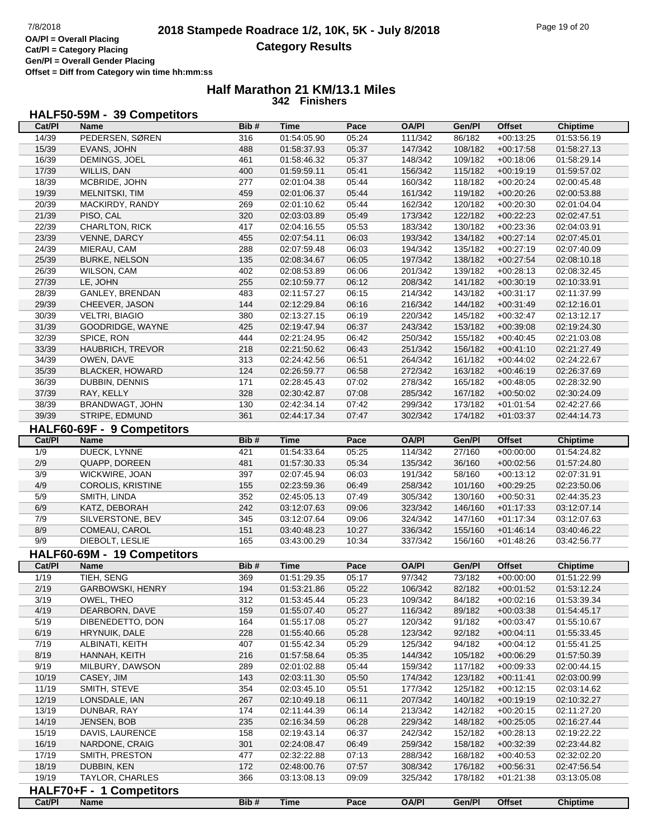**Gen/Pl = Overall Gender Placing Offset = Diff from Category win time hh:mm:ss**

## **Half Marathon 21 KM/13.1 Miles 342 Finishers**

## **HALF50-59M - 39 Competitors**

| Cat/PI | Name                        | Bib# | Time        | Pace  | OA/PI        | Gen/Pl  | <b>Offset</b> | <b>Chiptime</b> |
|--------|-----------------------------|------|-------------|-------|--------------|---------|---------------|-----------------|
| 14/39  | PEDERSEN, SØREN             | 316  | 01:54:05.90 | 05:24 | 111/342      | 86/182  | $+00:13:25$   | 01:53:56.19     |
| 15/39  | EVANS, JOHN                 | 488  | 01:58:37.93 | 05:37 | 147/342      | 108/182 | $+00:17:58$   | 01:58:27.13     |
| 16/39  | DEMINGS, JOEL               | 461  | 01:58:46.32 | 05:37 | 148/342      | 109/182 | $+00:18:06$   | 01:58:29.14     |
| 17/39  | WILLIS, DAN                 | 400  | 01:59:59.11 | 05:41 | 156/342      | 115/182 | $+00:19:19$   | 01:59:57.02     |
| 18/39  | MCBRIDE, JOHN               | 277  | 02:01:04.38 | 05:44 | 160/342      | 118/182 | $+00:20:24$   | 02:00:45.48     |
| 19/39  | MELNITSKI, TIM              | 459  | 02:01:06.37 | 05:44 | 161/342      | 119/182 | $+00:20:26$   | 02:00:53.88     |
| 20/39  | MACKIRDY, RANDY             | 269  | 02:01:10.62 | 05:44 | 162/342      | 120/182 | $+00:20:30$   | 02:01:04.04     |
| 21/39  |                             | 320  |             |       |              |         |               |                 |
|        | PISO, CAL                   |      | 02:03:03.89 | 05:49 | 173/342      | 122/182 | $+00:22:23$   | 02:02:47.51     |
| 22/39  | CHARLTON, RICK              | 417  | 02:04:16.55 | 05:53 | 183/342      | 130/182 | $+00:23:36$   | 02:04:03.91     |
| 23/39  | VENNE, DARCY                | 455  | 02:07:54.11 | 06:03 | 193/342      | 134/182 | $+00:27:14$   | 02:07:45.01     |
| 24/39  | MIERAU, CAM                 | 288  | 02:07:59.48 | 06:03 | 194/342      | 135/182 | $+00:27:19$   | 02:07:40.09     |
| 25/39  | <b>BURKE, NELSON</b>        | 135  | 02:08:34.67 | 06:05 | 197/342      | 138/182 | $+00:27:54$   | 02:08:10.18     |
| 26/39  | WILSON, CAM                 | 402  | 02:08:53.89 | 06:06 | 201/342      | 139/182 | $+00:28:13$   | 02:08:32.45     |
| 27/39  | LE, JOHN                    | 255  | 02:10:59.77 | 06:12 | 208/342      | 141/182 | $+00:30:19$   | 02:10:33.91     |
| 28/39  | GANLEY, BRENDAN             | 483  | 02:11:57.27 | 06:15 | 214/342      | 143/182 | $+00:31:17$   | 02:11:37.99     |
| 29/39  | CHEEVER, JASON              | 144  | 02:12:29.84 | 06:16 | 216/342      | 144/182 | $+00:31:49$   | 02:12:16.01     |
| 30/39  | <b>VELTRI, BIAGIO</b>       | 380  | 02:13:27.15 | 06:19 | 220/342      | 145/182 | $+00:32:47$   | 02:13:12.17     |
| 31/39  | GOODRIDGE, WAYNE            | 425  | 02:19:47.94 | 06:37 | 243/342      | 153/182 | $+00:39:08$   | 02:19:24.30     |
| 32/39  | SPICE, RON                  | 444  | 02:21:24.95 | 06:42 | 250/342      | 155/182 | $+00:40:45$   | 02:21:03.08     |
| 33/39  | HAUBRICH, TREVOR            | 218  | 02:21:50.62 | 06:43 | 251/342      | 156/182 | $+00:41:10$   | 02:21:27.49     |
| 34/39  | OWEN, DAVE                  | 313  | 02:24:42.56 | 06:51 | 264/342      | 161/182 | $+00:44:02$   | 02:24:22.67     |
| 35/39  | <b>BLACKER, HOWARD</b>      | 124  | 02:26:59.77 | 06:58 | 272/342      | 163/182 | $+00:46:19$   | 02:26:37.69     |
| 36/39  |                             | 171  |             |       |              |         |               |                 |
|        | DUBBIN, DENNIS              |      | 02:28:45.43 | 07:02 | 278/342      | 165/182 | $+00:48:05$   | 02:28:32.90     |
| 37/39  | RAY, KELLY                  | 328  | 02:30:42.87 | 07:08 | 285/342      | 167/182 | $+00:50:02$   | 02:30:24.09     |
| 38/39  | BRANDWAGT, JOHN             | 130  | 02:42:34.14 | 07:42 | 299/342      | 173/182 | $+01:01:54$   | 02:42:27.66     |
| 39/39  | STRIPE, EDMUND              | 361  | 02:44:17.34 | 07:47 | 302/342      | 174/182 | $+01:03:37$   | 02:44:14.73     |
|        | HALF60-69F - 9 Competitors  |      |             |       |              |         |               |                 |
| Cat/PI | <b>Name</b>                 | Bib# | <b>Time</b> | Pace  | <b>OA/PI</b> | Gen/Pl  | <b>Offset</b> | <b>Chiptime</b> |
| 1/9    | DUECK, LYNNE                | 421  | 01:54:33.64 | 05:25 | 114/342      | 27/160  | $+00:00:00$   | 01:54:24.82     |
| 2/9    | QUAPP, DOREEN               | 481  | 01:57:30.33 | 05:34 | 135/342      | 36/160  | $+00:02:56$   | 01:57:24.80     |
| 3/9    | WICKWIRE, JOAN              | 397  | 02:07:45.94 | 06:03 | 191/342      | 58/160  | $+00:13:12$   | 02:07:31.91     |
| 4/9    | <b>COROLIS, KRISTINE</b>    | 155  | 02:23:59.36 | 06:49 | 258/342      | 101/160 | $+00:29:25$   | 02:23:50.06     |
| 5/9    | SMITH, LINDA                | 352  | 02:45:05.13 | 07:49 | 305/342      | 130/160 | $+00:50:31$   | 02:44:35.23     |
| 6/9    | KATZ, DEBORAH               | 242  | 03:12:07.63 | 09:06 | 323/342      | 146/160 | $+01:17:33$   | 03:12:07.14     |
| 7/9    | SILVERSTONE, BEV            | 345  | 03:12:07.64 | 09:06 | 324/342      | 147/160 | $+01:17:34$   | 03:12:07.63     |
| 8/9    |                             |      |             |       |              |         |               |                 |
|        | COMEAU, CAROL               | 151  | 03:40:48.23 | 10:27 | 336/342      | 155/160 | $+01:46:14$   | 03:40:46.22     |
| 9/9    | DIEBOLT, LESLIE             | 165  | 03:43:00.29 | 10:34 | 337/342      | 156/160 | $+01:48:26$   | 03:42:56.77     |
|        | HALF60-69M - 19 Competitors |      |             |       |              |         |               |                 |
| Cat/PI | <b>Name</b>                 | Bib# | <b>Time</b> | Pace  | <b>OA/PI</b> | Gen/Pl  | <b>Offset</b> | <b>Chiptime</b> |
| 1/19   | TIEH, SENG                  | 369  | 01:51:29.35 | 05:17 | 97/342       | 73/182  | $+00:00:00$   | 01:51:22.99     |
| 2/19   | GARBOWSKI, HENRY            | 194  | 01:53:21.86 | 05:22 | 106/342      | 82/182  | $+00:01:52$   | 01:53:12.24     |
| 3/19   | OWEL, THEO                  | 312  | 01:53:45.44 | 05:23 | 109/342      | 84/182  | $+00:02:16$   | 01:53:39.34     |
| 4/19   | DEARBORN, DAVE              | 159  | 01:55:07.40 | 05:27 | 116/342      | 89/182  | $+00:03:38$   | 01:54:45.17     |
| 5/19   | DIBENEDETTO, DON            | 164  | 01:55:17.08 | 05:27 | 120/342      | 91/182  | $+00:03:47$   | 01:55:10.67     |
| 6/19   | HRYNUIK, DALE               | 228  | 01:55:40.66 | 05:28 | 123/342      | 92/182  | $+00:04:11$   | 01:55:33.45     |
| 7/19   | ALBINATI, KEITH             | 407  | 01:55:42.34 | 05:29 | 125/342      | 94/182  | $+00:04:12$   | 01:55:41.25     |
| 8/19   | HANNAH, KEITH               | 216  | 01:57:58.64 | 05:35 | 144/342      | 105/182 | $+00:06:29$   | 01:57:50.39     |
| 9/19   | MILBURY, DAWSON             | 289  | 02:01:02.88 | 05:44 | 159/342      | 117/182 | $+00:09:33$   | 02:00:44.15     |
| 10/19  |                             | 143  | 02:03:11.30 | 05:50 | 174/342      | 123/182 | $+00:11:41$   | 02:03:00.99     |
| 11/19  | CASEY, JIM<br>SMITH, STEVE  | 354  |             | 05:51 | 177/342      | 125/182 |               |                 |
|        |                             |      | 02:03:45.10 |       |              |         | $+00:12:15$   | 02:03:14.62     |
| 12/19  | LONSDALE, IAN               | 267  | 02:10:49.18 | 06:11 | 207/342      | 140/182 | $+00:19:19$   | 02:10:32.27     |
| 13/19  | DUNBAR, RAY                 | 174  | 02:11:44.39 | 06:14 | 213/342      | 142/182 | $+00:20:15$   | 02:11:27.20     |
| 14/19  | JENSEN, BOB                 | 235  | 02:16:34.59 | 06:28 | 229/342      | 148/182 | $+00:25:05$   | 02:16:27.44     |
| 15/19  | DAVIS, LAURENCE             | 158  | 02:19:43.14 | 06:37 | 242/342      | 152/182 | $+00:28:13$   | 02:19:22.22     |
| 16/19  | NARDONE, CRAIG              | 301  | 02:24:08.47 | 06:49 | 259/342      | 158/182 | $+00:32:39$   | 02:23:44.82     |
| 17/19  | SMITH, PRESTON              | 477  | 02:32:22.88 | 07:13 | 288/342      | 168/182 | $+00:40:53$   | 02:32:02.20     |
| 18/19  | DUBBIN, KEN                 | 172  | 02:48:00.76 | 07:57 | 308/342      | 176/182 | $+00:56:31$   | 02:47:56.54     |
| 19/19  | TAYLOR, CHARLES             | 366  | 03:13:08.13 | 09:09 | 325/342      | 178/182 | $+01:21:38$   | 03:13:05.08     |
|        | HALF70+F - 1 Competitors    |      |             |       |              |         |               |                 |
| Cat/PI | <b>Name</b>                 | Bib# | <b>Time</b> | Pace  | <b>OA/PI</b> | Gen/Pl  | <b>Offset</b> | <b>Chiptime</b> |
|        |                             |      |             |       |              |         |               |                 |